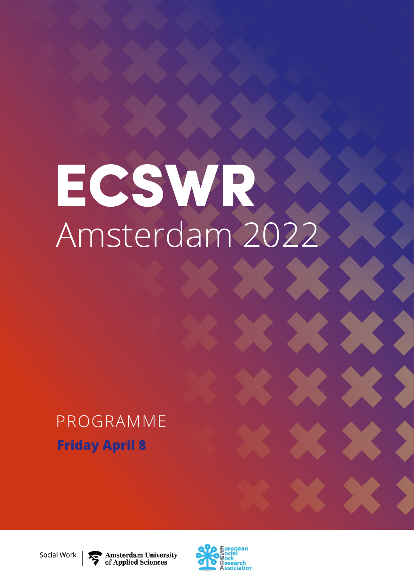# ECSWR Amsterdam 2022

# PROGRAMME **Friday April 8**

**Amsterdam University** of Applied Sciences



Social Work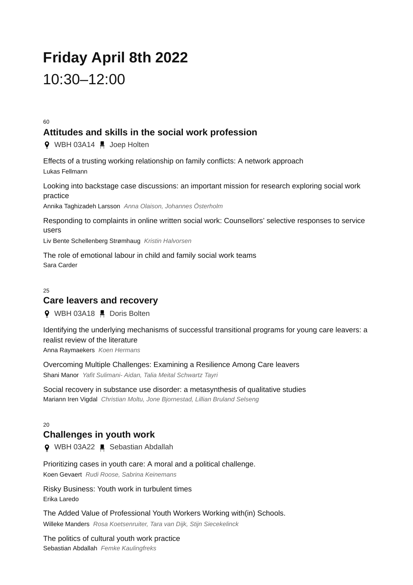# **Friday April 8th 2022** 10:30–12:00

60

#### **Attitudes and skills in the social work profession**

**9** WBH 03A14 ■ Joep Holten

Effects of a trusting working relationship on family conflicts: A network approach Lukas Fellmann

Looking into backstage case discussions: an important mission for research exploring social work practice

Annika Taghizadeh Larsson *Anna Olaison, Johannes Österholm*

Responding to complaints in online written social work: Counsellors' selective responses to service users

Liv Bente Schellenberg Strømhaug *Kristin Halvorsen*

The role of emotional labour in child and family social work teams Sara Carder

25

#### **Care leavers and recovery**

**9** WBH 03A18 H Doris Bolten

Identifying the underlying mechanisms of successful transitional programs for young care leavers: a realist review of the literature Anna Raymaekers *Koen Hermans*

Overcoming Multiple Challenges: Examining a Resilience Among Care leavers Shani Manor *Yafit Sulimani- Aidan, Talia Meital Schwartz Tayri*

Social recovery in substance use disorder: a metasynthesis of qualitative studies Mariann Iren Vigdal *Christian Moltu, Jone Bjornestad, Lillian Bruland Selseng*

#### $20$ **Challenges in youth work**

**Q** WBH 03A22 ■ Sebastian Abdallah

Prioritizing cases in youth care: A moral and a political challenge. Koen Gevaert *Rudi Roose, Sabrina Keinemans*

Risky Business: Youth work in turbulent times Erika Laredo

The Added Value of Professional Youth Workers Working with(in) Schools. Willeke Manders *Rosa Koetsenruiter, Tara van Dijk, Stijn Siecekelinck*

The politics of cultural youth work practice Sebastian Abdallah *Femke Kaulingfreks*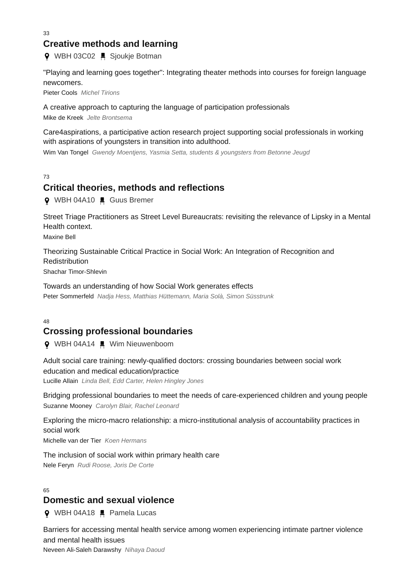33

#### **Creative methods and learning**

**9** WBH 03C02 ■ Sjoukje Botman

"Playing and learning goes together": Integrating theater methods into courses for foreign language newcomers.

Pieter Cools *Michel Tirions*

A creative approach to capturing the language of participation professionals

Mike de Kreek *Jelte Brontsema*

Care4aspirations, a participative action research project supporting social professionals in working with aspirations of youngsters in transition into adulthood.

Wim Van Tongel *Gwendy Moentjens, Yasmia Setta, students & youngsters from Betonne Jeugd*

73

#### **Critical theories, methods and reflections**

**Q** WBH 04A10 ■ Guus Bremer

Street Triage Practitioners as Street Level Bureaucrats: revisiting the relevance of Lipsky in a Mental Health context.

Maxine Bell

Theorizing Sustainable Critical Practice in Social Work: An Integration of Recognition and **Redistribution** 

Shachar Timor-Shlevin

Towards an understanding of how Social Work generates effects Peter Sommerfeld *Nadja Hess, Matthias Hüttemann, Maria Solà, Simon Süsstrunk*

48

## **Crossing professional boundaries**

**♀** WBH 04A14 ■ Wim Nieuwenboom

Adult social care training: newly-qualified doctors: crossing boundaries between social work education and medical education/practice

Lucille Allain *Linda Bell, Edd Carter, Helen Hingley Jones*

Bridging professional boundaries to meet the needs of care-experienced children and young people Suzanne Mooney *Carolyn Blair, Rachel Leonard*

Exploring the micro-macro relationship: a micro-institutional analysis of accountability practices in social work

Michelle van der Tier *Koen Hermans*

The inclusion of social work within primary health care Nele Feryn *Rudi Roose, Joris De Corte*

 $65$ 

#### **Domestic and sexual violence**

**Q** WBH 04A18 ■ Pamela Lucas

Barriers for accessing mental health service among women experiencing intimate partner violence and mental health issues Neveen Ali-Saleh Darawshy *Nihaya Daoud*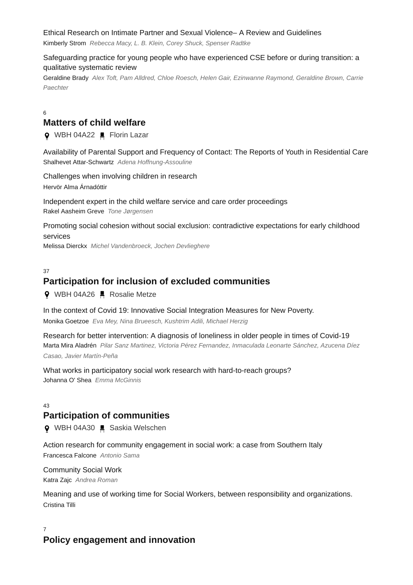#### Ethical Research on Intimate Partner and Sexual Violence– A Review and Guidelines

Kimberly Strom *Rebecca Macy, L. B. Klein, Corey Shuck, Spenser Radtke*

#### Safeguarding practice for young people who have experienced CSE before or during transition: a qualitative systematic review

Geraldine Brady *Alex Toft, Pam Alldred, Chloe Roesch, Helen Gair, Ezinwanne Raymond, Geraldine Brown, Carrie Paechter*

6

#### **Matters of child welfare**

**O** WBH 04A22 ■ Florin Lazar

Availability of Parental Support and Frequency of Contact: The Reports of Youth in Residential Care Shalhevet Attar-Schwartz *Adena Hoffnung-Assouline*

Challenges when involving children in research Hervör Alma Árnadóttir

Independent expert in the child welfare service and care order proceedings Rakel Aasheim Greve *Tone Jørgensen*

Promoting social cohesion without social exclusion: contradictive expectations for early childhood services

Melissa Dierckx *Michel Vandenbroeck, Jochen Devlieghere*

37

#### **Participation for inclusion of excluded communities**

**9** WBH 04A26 HR Rosalie Metze

In the context of Covid 19: Innovative Social Integration Measures for New Poverty. Monika Goetzoe *Eva Mey, Nina Brueesch, Kushtrim Adili, Michael Herzig*

Research for better intervention: A diagnosis of loneliness in older people in times of Covid-19 Marta Mira Aladrén *Pilar Sanz Martinez, Victoria Pérez Fernandez, Inmaculada Leonarte Sánchez, Azucena Díez Casao, Javier Martín-Peña*

What works in participatory social work research with hard-to-reach groups? Johanna O' Shea *Emma McGinnis*

#### $42$

#### **Participation of communities**

**Q** WBH 04A30 ■ Saskia Welschen

Action research for community engagement in social work: a case from Southern Italy Francesca Falcone *Antonio Sama*

Community Social Work Katra Zajc *Andrea Roman*

Meaning and use of working time for Social Workers, between responsibility and organizations. Cristina Tilli

7 **Policy engagement and innovation**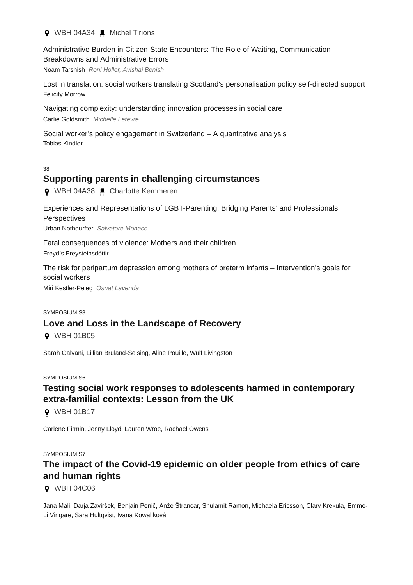**Q** WBH 04A34 ■ Michel Tirions

Administrative Burden in Citizen-State Encounters: The Role of Waiting, Communication Breakdowns and Administrative Errors

Noam Tarshish *Roni Holler, Avishai Benish*

Lost in translation: social workers translating Scotland's personalisation policy self-directed support Felicity Morrow

Navigating complexity: understanding innovation processes in social care Carlie Goldsmith *Michelle Lefevre*

Social worker's policy engagement in Switzerland – A quantitative analysis Tobias Kindler

#### 38

#### **Supporting parents in challenging circumstances**

**Q** WBH 04A38 ■ Charlotte Kemmeren

Experiences and Representations of LGBT-Parenting: Bridging Parents' and Professionals' Perspectives Urban Nothdurfter *Salvatore Monaco*

Fatal consequences of violence: Mothers and their children Freydís Freysteinsdóttir

The risk for peripartum depression among mothers of preterm infants – Intervention's goals for social workers

Miri Kestler-Peleg *Osnat Lavenda*

#### SYMPOSIUM S3 **Love and Loss in the Landscape of Recovery**

**0** WBH 01B05

Sarah Galvani, Lillian Bruland-Selsing, Aline Pouille, Wulf Livingston

SYMPOSILIM S6

## **Testing social work responses to adolescents harmed in contemporary extra-familial contexts: Lesson from the UK**

**9** WBH 01B17

Carlene Firmin, Jenny Lloyd, Lauren Wroe, Rachael Owens

SYMPOSIUM S7

# **The impact of the Covid-19 epidemic on older people from ethics of care and human rights**

**Q** WBH 04C06

Jana Mali, Darja Zaviršek, Benjain Penič, Anže Štrancar, Shulamit Ramon, Michaela Ericsson, Clary Krekula, Emme-Li Vingare, Sara Hultqvist, Ivana Kowaliková.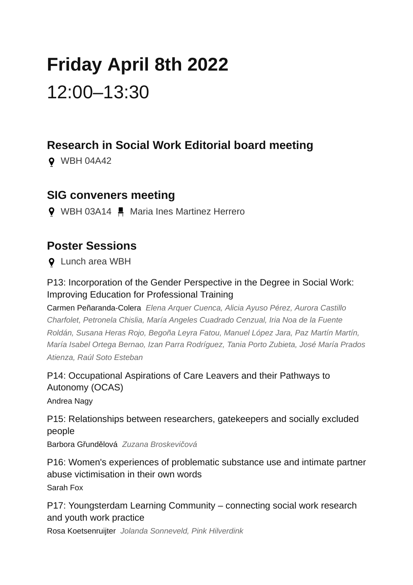# **Friday April 8th 2022** 12:00–13:30

# **Research in Social Work Editorial board meeting**

WBH 04A42

# **SIG conveners meeting**

**9** WBH 03A14 ■ Maria Ines Martinez Herrero

# **Poster Sessions**

**Q** Lunch area WBH

P13: Incorporation of the Gender Perspective in the Degree in Social Work: Improving Education for Professional Training

Carmen Peñaranda-Colera *Elena Arquer Cuenca, Alicia Ayuso Pérez, Aurora Castillo Charfolet, Petronela Chislia, María Angeles Cuadrado Cenzual, Iria Noa de la Fuente Roldán, Susana Heras Rojo, Begoña Leyra Fatou, Manuel López Jara, Paz Martín Martín, María Isabel Ortega Bernao, Izan Parra Rodríguez, Tania Porto Zubieta, José María Prados Atienza, Raúl Soto Esteban*

P14: Occupational Aspirations of Care Leavers and their Pathways to Autonomy (OCAS)

Andrea Nagy

P15: Relationships between researchers, gatekeepers and socially excluded people

Barbora Gřundělová *Zuzana Broskevičová*

P16: Women's experiences of problematic substance use and intimate partner abuse victimisation in their own words Sarah Fox

P17: Youngsterdam Learning Community – connecting social work research and youth work practice

Rosa Koetsenruijter *Jolanda Sonneveld, Pink Hilverdink*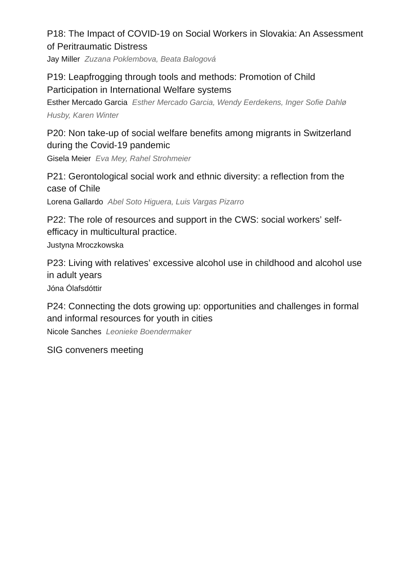# P18: The Impact of COVID-19 on Social Workers in Slovakia: An Assessment of Peritraumatic Distress

Jay Miller *Zuzana Poklembova, Beata Balogová*

# P19: Leapfrogging through tools and methods: Promotion of Child Participation in International Welfare systems

Esther Mercado Garcia *Esther Mercado Garcia, Wendy Eerdekens, Inger Sofie Dahlø Husby, Karen Winter*

P20: Non take-up of social welfare benefits among migrants in Switzerland during the Covid-19 pandemic

Gisela Meier *Eva Mey, Rahel Strohmeier*

P21: Gerontological social work and ethnic diversity: a reflection from the case of Chile

Lorena Gallardo *Abel Soto Higuera, Luis Vargas Pizarro*

P22: The role of resources and support in the CWS: social workers' selfefficacy in multicultural practice.

Justyna Mroczkowska

P23: Living with relatives' excessive alcohol use in childhood and alcohol use in adult years

Jóna Ólafsdóttir

P24: Connecting the dots growing up: opportunities and challenges in formal and informal resources for youth in cities

Nicole Sanches *Leonieke Boendermaker*

SIG conveners meeting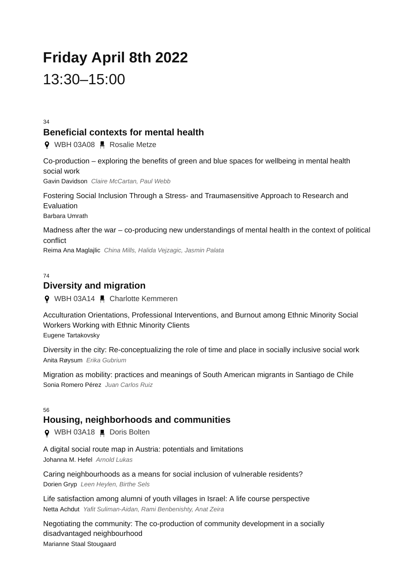# **Friday April 8th 2022** 13:30–15:00

34

#### **Beneficial contexts for mental health**

9 WBH 03A08 H Rosalie Metze

Co-production – exploring the benefits of green and blue spaces for wellbeing in mental health social work Gavin Davidson *Claire McCartan, Paul Webb*

Fostering Social Inclusion Through a Stress- and Traumasensitive Approach to Research and Evaluation Barbara Umrath

Madness after the war – co-producing new understandings of mental health in the context of political conflict

Reima Ana Maglajlic *China Mills, Halida Vejzagic, Jasmin Palata*

 $74$ 

#### **Diversity and migration**

**9** WBH 03A14 **E** Charlotte Kemmeren

Acculturation Orientations, Professional Interventions, and Burnout among Ethnic Minority Social Workers Working with Ethnic Minority Clients Eugene Tartakovsky

Diversity in the city: Re-conceptualizing the role of time and place in socially inclusive social work Anita Røysum *Erika Gubrium*

Migration as mobility: practices and meanings of South American migrants in Santiago de Chile Sonia Romero Pérez *Juan Carlos Ruiz*

#### 56

#### **Housing, neighborhoods and communities**

**Q** WBH 03A18 ■ Doris Bolten

A digital social route map in Austria: potentials and limitations Johanna M. Hefel *Arnold Lukas*

Caring neighbourhoods as a means for social inclusion of vulnerable residents? Dorien Gryp *Leen Heylen, Birthe Sels*

Life satisfaction among alumni of youth villages in Israel: A life course perspective Netta Achdut *Yafit Suliman-Aidan, Rami Benbenishty, Anat Zeira*

Negotiating the community: The co-production of community development in a socially disadvantaged neighbourhood Marianne Staal Stougaard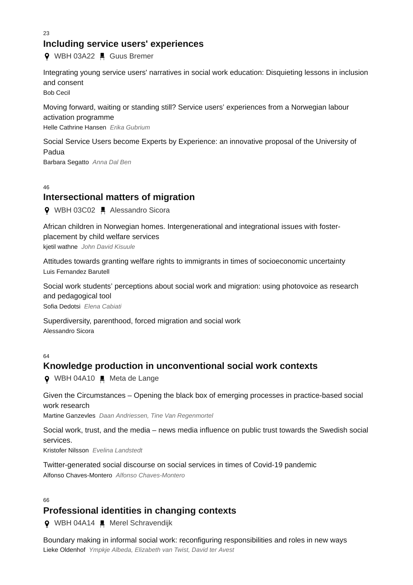23

#### **Including service users' experiences**

**9** WBH 03A22 H Guus Bremer

Integrating young service users' narratives in social work education: Disquieting lessons in inclusion and consent

Bob Cecil

Moving forward, waiting or standing still? Service users' experiences from a Norwegian labour activation programme Helle Cathrine Hansen *Erika Gubrium*

Social Service Users become Experts by Experience: an innovative proposal of the University of Padua Barbara Segatto *Anna Dal Ben*

46

## **Intersectional matters of migration**

**Q** WBH 03C02 ■ Alessandro Sicora

African children in Norwegian homes. Intergenerational and integrational issues with fosterplacement by child welfare services kjetil wathne *John David Kisuule*

Attitudes towards granting welfare rights to immigrants in times of socioeconomic uncertainty Luis Fernandez Barutell

Social work students' perceptions about social work and migration: using photovoice as research and pedagogical tool

Sofia Dedotsi *Elena Cabiati*

Superdiversity, parenthood, forced migration and social work Alessandro Sicora

64

#### **Knowledge production in unconventional social work contexts**

**Q** WBH 04A10 ■ Meta de Lange

Given the Circumstances – Opening the black box of emerging processes in practice-based social work research

Martine Ganzevles *Daan Andriessen, Tine Van Regenmortel*

Social work, trust, and the media – news media influence on public trust towards the Swedish social services.

Kristofer Nilsson *Evelina Landstedt*

Twitter-generated social discourse on social services in times of Covid-19 pandemic Alfonso Chaves-Montero *Alfonso Chaves-Montero*

#### 66

## **Professional identities in changing contexts**

**9** WBH 04A14 ■ Merel Schravendijk

Boundary making in informal social work: reconfiguring responsibilities and roles in new ways Lieke Oldenhof *Ympkje Albeda, Elizabeth van Twist, David ter Avest*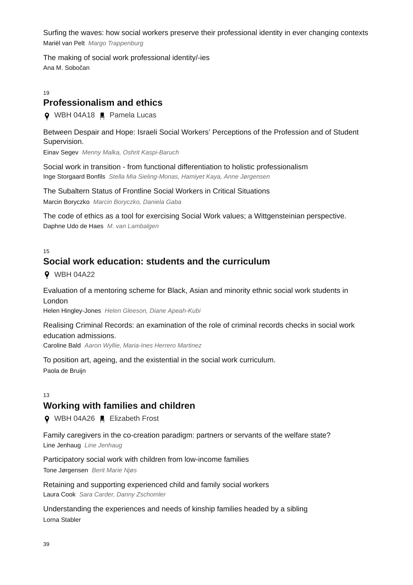Surfing the waves: how social workers preserve their professional identity in ever changing contexts Mariël van Pelt *Margo Trappenburg*

The making of social work professional identity/-ies Ana M. Sobočan

19

# **Professionalism and ethics**

WBH 04A18 Pamela Lucas

Between Despair and Hope: Israeli Social Workers' Perceptions of the Profession and of Student Supervision.

Einav Segev *Menny Malka, Oshrit Kaspi-Baruch*

Social work in transition - from functional differentiation to holistic professionalism Inge Storgaard Bonfils *Stella Mia Sieling-Monas, Hamiyet Kaya, Anne Jørgensen*

The Subaltern Status of Frontline Social Workers in Critical Situations Marcin Boryczko *Marcin Boryczko, Daniela Gaba*

The code of ethics as a tool for exercising Social Work values; a Wittgensteinian perspective. Daphne Udo de Haes *M. van Lambalgen*

15

# **Social work education: students and the curriculum**

**9** WBH 04A22

Evaluation of a mentoring scheme for Black, Asian and minority ethnic social work students in London

Helen Hingley-Jones *Helen Gleeson, Diane Apeah-Kubi*

Realising Criminal Records: an examination of the role of criminal records checks in social work education admissions.

Caroline Bald *Aaron Wyllie, Maria-Ines Herrero Martinez*

To position art, ageing, and the existential in the social work curriculum. Paola de Bruijn

#### 13

## **Working with families and children**

WBH 04A26 Elizabeth Frost

Family caregivers in the co-creation paradigm: partners or servants of the welfare state? Line Jenhaug *Line Jenhaug*

Participatory social work with children from low-income families Tone Jørgensen *Berit Marie Njøs*

Retaining and supporting experienced child and family social workers Laura Cook *Sara Carder, Danny Zschomler*

Understanding the experiences and needs of kinship families headed by a sibling Lorna Stabler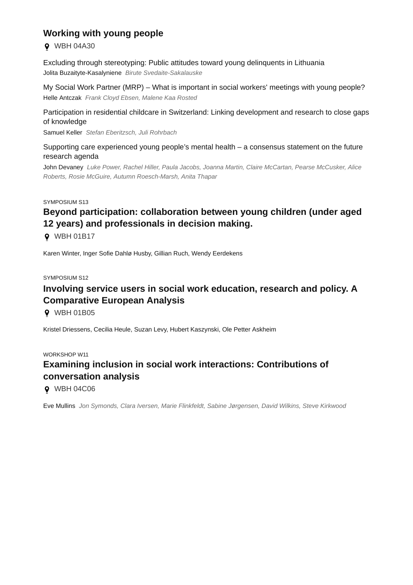# **Working with young people**

WBH 04A30

Excluding through stereotyping: Public attitudes toward young delinquents in Lithuania Jolita Buzaityte-Kasalyniene *Birute Svedaite-Sakalauske*

My Social Work Partner (MRP) – What is important in social workers' meetings with young people? Helle Antczak *Frank Cloyd Ebsen, Malene Kaa Rosted*

Participation in residential childcare in Switzerland: Linking development and research to close gaps of knowledge

Samuel Keller *Stefan Eberitzsch, Juli Rohrbach*

Supporting care experienced young people's mental health – a consensus statement on the future research agenda

John Devaney *Luke Power, Rachel Hiller, Paula Jacobs, Joanna Martin, Claire McCartan, Pearse McCusker, Alice Roberts, Rosie McGuire, Autumn Roesch-Marsh, Anita Thapar*

#### SYMPOSIUM S13

# **Beyond participation: collaboration between young children (under aged 12 years) and professionals in decision making.**

**9** WBH 01B17

Karen Winter, Inger Sofie Dahlø Husby, Gillian Ruch, Wendy Eerdekens

SYMPOSIUM S12

# **Involving service users in social work education, research and policy. A Comparative European Analysis**

**9** WBH 01B05

Kristel Driessens, Cecilia Heule, Suzan Levy, Hubert Kaszynski, Ole Petter Askheim

#### WORKSHOP W11

# **Examining inclusion in social work interactions: Contributions of conversation analysis**

**9** WBH 04C06

Eve Mullins *Jon Symonds, Clara Iversen, Marie Flinkfeldt, Sabine Jørgensen, David Wilkins, Steve Kirkwood*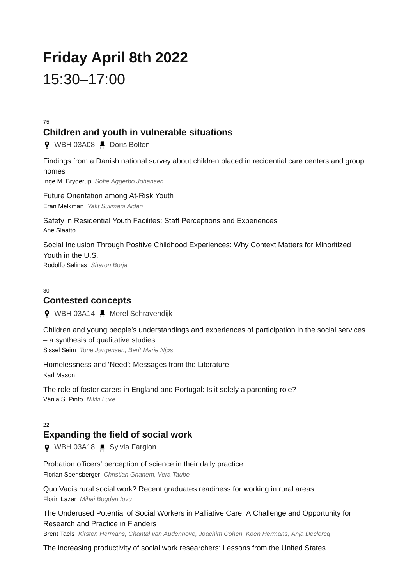# **Friday April 8th 2022** 15:30–17:00

75

# **Children and youth in vulnerable situations**

**9** WBH 03A08 H Doris Bolten

Findings from a Danish national survey about children placed in recidential care centers and group homes Inge M. Bryderup *Sofie Aggerbo Johansen*

Future Orientation among At-Risk Youth Eran Melkman *Yafit Sulimani Aidan*

Safety in Residential Youth Facilites: Staff Perceptions and Experiences Ane Slaatto

Social Inclusion Through Positive Childhood Experiences: Why Context Matters for Minoritized Youth in the U.S. Rodolfo Salinas *Sharon Borja*

#### $30$ **Contested concepts**

**9** WBH 03A14 Merel Schravendijk

Children and young people's understandings and experiences of participation in the social services – a synthesis of qualitative studies

Sissel Seim *Tone Jørgensen, Berit Marie Njøs*

Homelessness and 'Need': Messages from the Literature Karl Mason

The role of foster carers in England and Portugal: Is it solely a parenting role? Vânia S. Pinto *Nikki Luke*

#### $22$

# **Expanding the field of social work**

**Q** WBH 03A18 ■ Sylvia Fargion

Probation officers' perception of science in their daily practice

Florian Spensberger *Christian Ghanem, Vera Taube*

Quo Vadis rural social work? Recent graduates readiness for working in rural areas Florin Lazar *Mihai Bogdan Iovu*

The Underused Potential of Social Workers in Palliative Care: A Challenge and Opportunity for Research and Practice in Flanders

Brent Taels *Kirsten Hermans, Chantal van Audenhove, Joachim Cohen, Koen Hermans, Anja Declercq*

The increasing productivity of social work researchers: Lessons from the United States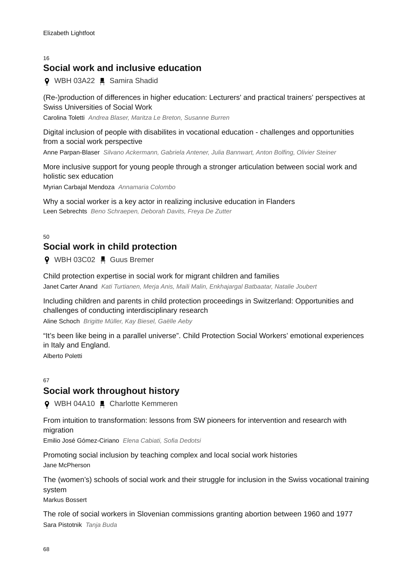#### 16

## **Social work and inclusive education**

**Q** WBH 03A22 ■ Samira Shadid

(Re-)production of differences in higher education: Lecturers' and practical trainers' perspectives at Swiss Universities of Social Work

Carolina Toletti *Andrea Blaser, Maritza Le Breton, Susanne Burren*

Digital inclusion of people with disabilites in vocational education - challenges and opportunities from a social work perspective

Anne Parpan-Blaser *Silvano Ackermann, Gabriela Antener, Julia Bannwart, Anton Bolfing, Olivier Steiner*

More inclusive support for young people through a stronger articulation between social work and holistic sex education

Myrian Carbajal Mendoza *Annamaria Colombo*

Why a social worker is a key actor in realizing inclusive education in Flanders Leen Sebrechts *Beno Schraepen, Deborah Davits, Freya De Zutter*

 $50$ 

# **Social work in child protection**

**9** WBH 03C02 H Guus Bremer

Child protection expertise in social work for migrant children and families Janet Carter Anand *Kati Turtianen, Merja Anis, Maili Malin, Enkhajargal Batbaatar, Natalie Joubert*

Including children and parents in child protection proceedings in Switzerland: Opportunities and challenges of conducting interdisciplinary research

Aline Schoch *Brigitte Müller, Kay Biesel, Gaëlle Aeby*

"It's been like being in a parallel universe". Child Protection Social Workers' emotional experiences in Italy and England.

Alberto Poletti

#### 67

#### **Social work throughout history**

**O** WBH 04A10 ■ Charlotte Kemmeren

From intuition to transformation: lessons from SW pioneers for intervention and research with migration

Emilio José Gómez-Ciriano *Elena Cabiati, Sofia Dedotsi*

Promoting social inclusion by teaching complex and local social work histories Jane McPherson

The (women's) schools of social work and their struggle for inclusion in the Swiss vocational training system

Markus Bossert

The role of social workers in Slovenian commissions granting abortion between 1960 and 1977 Sara Pistotnik *Tanja Buda*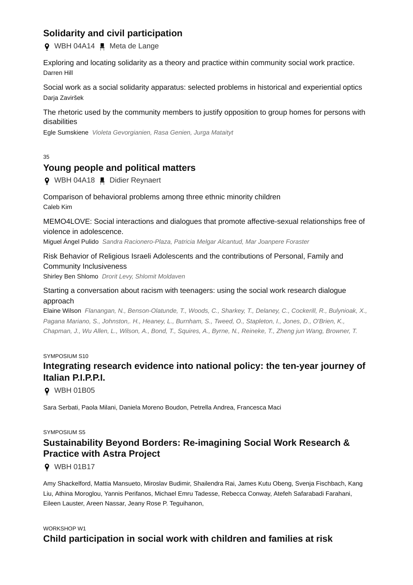# **Solidarity and civil participation**

**Q** WBH 04A14 ■ Meta de Lange

Exploring and locating solidarity as a theory and practice within community social work practice. Darren Hill

Social work as a social solidarity apparatus: selected problems in historical and experiential optics Daria Zaviršek

The rhetoric used by the community members to justify opposition to group homes for persons with disabilities

Egle Sumskiene *Violeta Gevorgianien, Rasa Genien, Jurga Mataityt*

#### 35

#### **Young people and political matters**

WBH 04A18 Didier Reynaert

#### Comparison of behavioral problems among three ethnic minority children Caleb Kim

MEMO4LOVE: Social interactions and dialogues that promote affective-sexual relationships free of violence in adolescence.

Miguel Ángel Pulido *Sandra Racionero-Plaza, Patricia Melgar Alcantud, Mar Joanpere Foraster*

#### Risk Behavior of Religious Israeli Adolescents and the contributions of Personal, Family and Community Inclusiveness

Shirley Ben Shlomo *Drorit Levy, Shlomit Moldaven*

#### Starting a conversation about racism with teenagers: using the social work research dialogue approach

Elaine Wilson *Flanangan, N., Benson-Olatunde, T., Woods, C., Sharkey, T., Delaney, C., Cockerill, R., Bulynioak, X., Pagana Mariano, S., Johnston,. H., Heaney, L., Burnham, S., Tweed, O., Stapleton, I., Jones, D., O'Brien, K., Chapman, J., Wu Allen, L., Wilson, A., Bond, T., Squires, A., Byrne, N., Reineke, T., Zheng jun Wang, Browner, T.*

#### SYMPOSIUM S10

# **Integrating research evidence into national policy: the ten-year journey of Italian P.I.P.P.I.**

**Q** WBH 01B05

Sara Serbati, Paola Milani, Daniela Moreno Boudon, Petrella Andrea, Francesca Maci

#### SYMPOSILIM S5

# **Sustainability Beyond Borders: Re-imagining Social Work Research & Practice with Astra Project**

**9** WBH 01B17

Amy Shackelford, Mattia Mansueto, Miroslav Budimir, Shailendra Rai, James Kutu Obeng, Svenja Fischbach, Kang Liu, Athina Moroglou, Yannis Perifanos, Michael Emru Tadesse, Rebecca Conway, Atefeh Safarabadi Farahani, Eileen Lauster, Areen Nassar, Jeany Rose P. Teguihanon,

#### WORKSHOP W1

#### **Child participation in social work with children and families at risk**